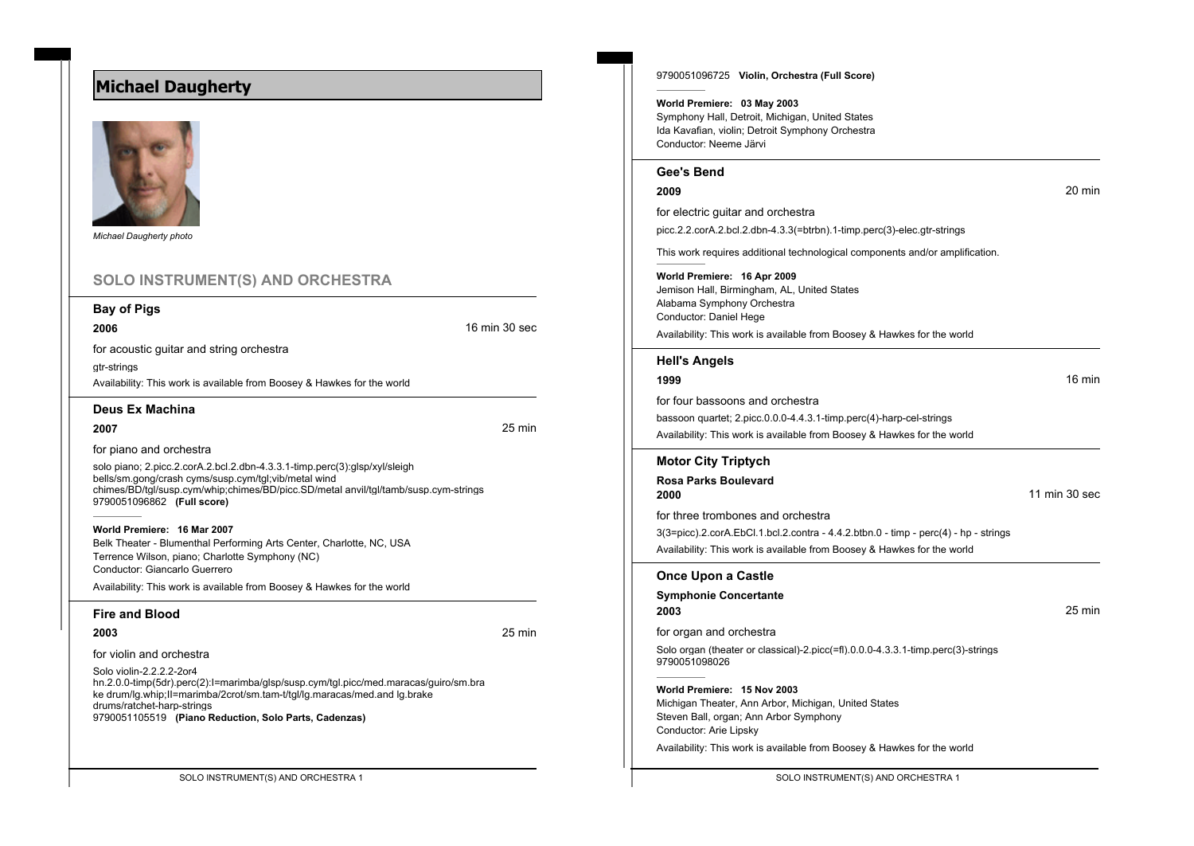# **Michael Daugherty**



*Michael Daugherty photo*

# **SOLO INSTRUMENT(S) AND ORCHESTRA**

## **Bay of Pigs**

**2006 16 min 30 second 16 min 30 second 16 min 30 second 16 min 30 second 16 min 30 second 16 min 30 second 16 min 30 second 16 min 30 second 16 min 30 second 16 min 30 second 16 min 30 second 16 min 30 second 16 min 30** 

for acoustic guitar and string orchestra

gtr-strings

Availability: This work is available from Boosey & Hawkes for the world

**Deus Ex Machina**

**2007** 25 min

for piano and orchestra

solo piano; 2.picc.2.corA.2.bcl.2.dbn-4.3.3.1-timp.perc(3):glsp/xyl/sleigh bells/sm.gong/crash cyms/susp.cym/tgl;vib/metal wind chimes/BD/tgl/susp.cym/whip;chimes/BD/picc.SD/metal anvil/tgl/tamb/susp.cym-strings 9790051096862 **(Full score)**

**World Premiere: 16 Mar 2007** Belk Theater - Blumenthal Performing Arts Center, Charlotte, NC, USA Terrence Wilson, piano; Charlotte Symphony (NC) Conductor: Giancarlo Guerrero

Availability: This work is available from Boosey & Hawkes for the world

## **Fire and Blood**

**2003** 25 min

for violin and orchestra

Solo violin-2.2.2.2-2or4

hn.2.0.0-timp(5dr).perc(2):I=marimba/glsp/susp.cym/tgl.picc/med.maracas/guiro/sm.bra ke drum/lg.whip;II=marimba/2crot/sm.tam-t/tgl/lg.maracas/med.and lg.brake drums/ratchet-harp-strings 9790051105519 **(Piano Reduction, Solo Parts, Cadenzas)**

9790051096725 **Violin, Orchestra (Full Score)**

### **World Premiere: 03 May 2003**

Symphony Hall, Detroit, Michigan, United States Ida Kavafian, violin; Detroit Symphony Orchestra Conductor: Neeme Järvi

## **Gee's Bend**

**2009** 20 min

for electric guitar and orchestra picc.2.2.corA.2.bcl.2.dbn-4.3.3(=btrbn).1-timp.perc(3)-elec.gtr-strings

This work requires additional technological components and/or amplification.

#### **World Premiere: 16 Apr 2009**

Jemison Hall, Birmingham, AL, United States Alabama Symphony Orchestra Conductor: Daniel Hege

Availability: This work is available from Boosey & Hawkes for the world

#### **Hell's Angels**

## **1999** 16 min

for four bassoons and orchestra bassoon quartet; 2.picc.0.0.0-4.4.3.1-timp.perc(4)-harp-cel-strings Availability: This work is available from Boosey & Hawkes for the world

## **Motor City Triptych**

**Rosa Parks Boulevard 2000** 11 min 30 sec

for three trombones and orchestra

3(3=picc).2.corA.EbCl.1.bcl.2.contra - 4.4.2.btbn.0 - timp - perc(4) - hp - strings Availability: This work is available from Boosey & Hawkes for the world

#### **Once Upon a Castle**

**Symphonie Concertante 2003** 25 min for organ and orchestra

Solo organ (theater or classical)-2.picc(=fl).0.0.0-4.3.3.1-timp.perc(3)-strings 9790051098026

**World Premiere: 15 Nov 2003** Michigan Theater, Ann Arbor, Michigan, United States Steven Ball, organ; Ann Arbor Symphony

Conductor: Arie Lipsky

Availability: This work is available from Boosey & Hawkes for the world